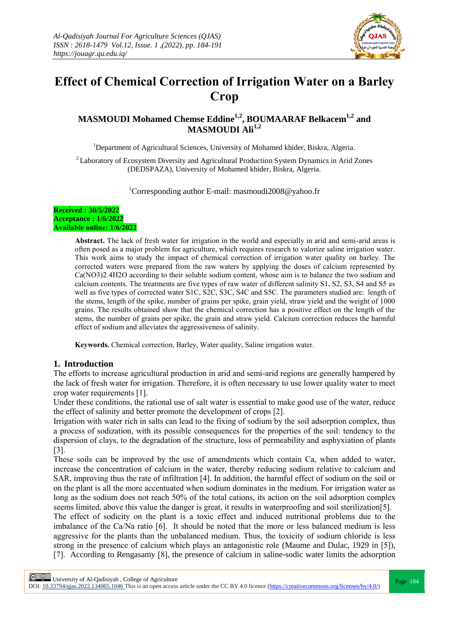

# **Effect of Chemical Correction of Irrigation Water on a Barley Crop**

# **MASMOUDI Mohamed Chemse Eddine1,2 , BOUMAARAF Belkacem1,2 and MASMOUDI Ali1,2**

<sup>1</sup>Department of Agricultural Sciences, University of Mohamed khider, Biskra, Algeria.

<sup>2</sup> Laboratory of Ecosystem Diversity and Agricultural Production System Dynamics in Arid Zones (DEDSPAZA), University of Mohamed khider, Biskra, Algeria.

<sup>1</sup>Corresponding author E-mail: masmoudi2008@yahoo.fr

#### **Received : 30/5/2022 Acceptance : 1/6/2022 Available online: 1/6/2022**

**Abstract.** The lack of fresh water for irrigation in the world and especially in arid and semi-arid areas is often posed as a major problem for agriculture, which requires research to valorize saline irrigation water. This work aims to study the impact of chemical correction of irrigation water quality on barley. The corrected waters were prepared from the raw waters by applying the doses of calcium represented by Ca(NO3)2 4H2O according to their soluble sodium content, whose aim is to balance the two sodium and calcium contents. The treatments are five types of raw water of different salinity S1, S2, S3, S4 and S5 as well as five types of corrected water S1C, S2C, S3C, S4C and S5C. The parameters studied are: length of the stems, length of the spike, number of grains per spike, grain yield, straw yield and the weight of 1000 grains. The results obtained show that the chemical correction has a positive effect on the length of the stems, the number of grains per spike, the grain and straw yield. Calcium correction reduces the harmful effect of sodium and alleviates the aggressiveness of salinity.

**Keywords.** Chemical correction, Barley, Water quality, Saline irrigation water.

## **1. Introduction**

The efforts to increase agricultural production in arid and semi-arid regions are generally hampered by the lack of fresh water for irrigation. Therefore, it is often necessary to use lower quality water to meet crop water requirements [1].

Under these conditions, the rational use of salt water is essential to make good use of the water, reduce the effect of salinity and better promote the development of crops [2].

Irrigation with water rich in salts can lead to the fixing of sodium by the soil adsorption complex, thus a process of sodization, with its possible consequences for the properties of the soil: tendency to the dispersion of clays, to the degradation of the structure, loss of permeability and asphyxiation of plants [3].

These soils can be improved by the use of amendments which contain Ca, when added to water, increase the concentration of calcium in the water, thereby reducing sodium relative to calcium and SAR, improving thus the rate of infiltration [4]. In addition, the harmful effect of sodium on the soil or on the plant is all the more accentuated when sodium dominates in the medium. For irrigation water as long as the sodium does not reach 50% of the total cations, its action on the soil adsorption complex seems limited, above this value the danger is great, it results in waterproofing and soil sterilization[5].

The effect of sodicity on the plant is a toxic effect and induced nutritional problems due to the imbalance of the Ca/Na ratio [6]. It should be noted that the more or less balanced medium is less aggressive for the plants than the unbalanced medium. Thus, the toxicity of sodium chloride is less strong in the presence of calcium which plays an antagonistic role (Maume and Dulac, 1929 in [5]), [7]. According to Rengasamy [8], the presence of calcium in saline-sodic water limits the adsorption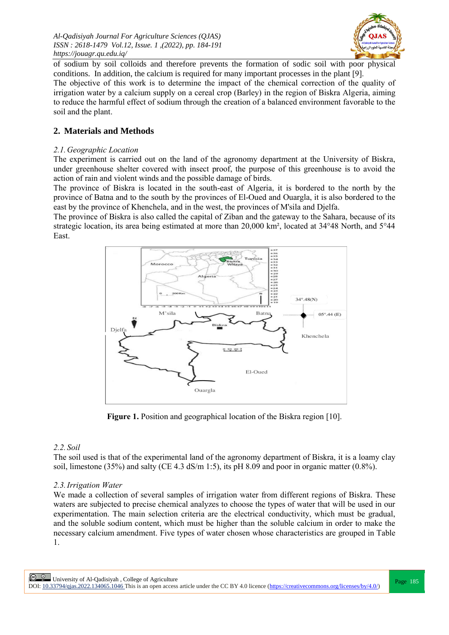

of sodium by soil colloids and therefore prevents the formation of sodic soil with poor physical conditions. In addition, the calcium is required for many important processes in the plant [9].

The objective of this work is to determine the impact of the chemical correction of the quality of irrigation water by a calcium supply on a cereal crop (Barley) in the region of Biskra Algeria, aiming to reduce the harmful effect of sodium through the creation of a balanced environment favorable to the soil and the plant.

## **2. Materials and Methods**

#### *2.1.Geographic Location*

The experiment is carried out on the land of the agronomy department at the University of Biskra, under greenhouse shelter covered with insect proof, the purpose of this greenhouse is to avoid the action of rain and violent winds and the possible damage of birds.

The province of Biskra is located in the south-east of Algeria, it is bordered to the north by the province of Batna and to the south by the provinces of El-Oued and Ouargla, it is also bordered to the east by the province of Khenchela, and in the west, the provinces of M'sila and Djelfa.

The province of Biskra is also called the capital of Ziban and the gateway to the Sahara, because of its strategic location, its area being estimated at more than 20,000 km², located at 34°48 North, and 5°44 East.



**Figure 1.** Position and geographical location of the Biskra region [10].

## *2.2. Soil*

The soil used is that of the experimental land of the agronomy department of Biskra, it is a loamy clay soil, limestone (35%) and salty (CE 4.3 dS/m 1:5), its pH 8.09 and poor in organic matter (0.8%).

## *2.3.Irrigation Water*

We made a collection of several samples of irrigation water from different regions of Biskra. These waters are subjected to precise chemical analyzes to choose the types of water that will be used in our experimentation. The main selection criteria are the electrical conductivity, which must be gradual, and the soluble sodium content, which must be higher than the soluble calcium in order to make the necessary calcium amendment. Five types of water chosen whose characteristics are grouped in Table 1.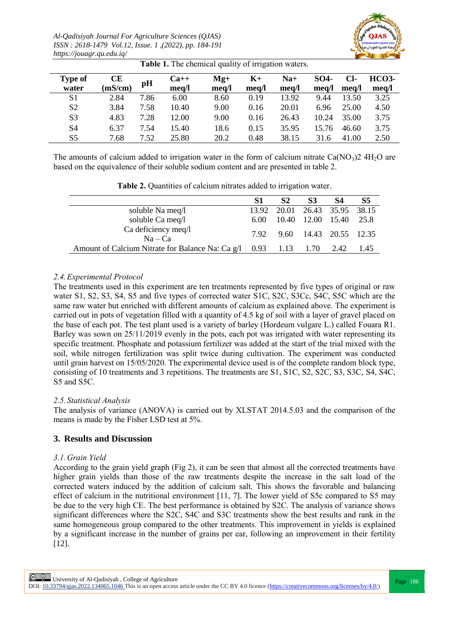*Al-Qadisiyah Journal For Agriculture Sciences (QJAS) ISSN : 2618-1479 Vol.12, Issue. 1 ,(2022), pp. 184-191 https://jouagr.qu.edu.iq/*



| <b>Type of</b> | <b>CE</b> |      | $Ca++$ | $Mg+$ | $K+$  | $Na+$ | SO <sub>4</sub> | Cl-   | <b>HCO3-</b> |  |
|----------------|-----------|------|--------|-------|-------|-------|-----------------|-------|--------------|--|
| water          | (mS/cm)   | pH   | mea/l  | meq/l | mea/l | mea/l | mea/l           | mea/l | meg/l        |  |
| S <sub>1</sub> | 2.84      | 7.86 | 6.00   | 8.60  | 0.19  | 13.92 | 9.44            | 13.50 | 3.25         |  |
| S <sub>2</sub> | 3.84      | 7.58 | 10.40  | 9.00  | 0.16  | 20.01 | 6.96            | 25.00 | 4.50         |  |
| S <sub>3</sub> | 4.83      | 7.28 | 12.00  | 9.00  | 0.16  | 26.43 | 10.24           | 35.00 | 3.75         |  |
| S4             | 6.37      | 7.54 | 15.40  | 18.6  | 0.15  | 35.95 | 15.76           | 46.60 | 3.75         |  |
| S5             | 7.68      | 7.52 | 25.80  | 20.2  | 0.48  | 38.15 | 31.6            | 41.00 | 2.50         |  |

**Table 1.** The chemical quality of irrigation waters.

The amounts of calcium added to irrigation water in the form of calcium nitrate  $Ca(NO<sub>3</sub>)2 4H<sub>2</sub>O$  are based on the equivalence of their soluble sodium content and are presented in table 2.

|                                                                        | S1 | S <sub>2</sub> | S <sub>3</sub>                | <b>S4</b> | S5   |  |  |  |  |
|------------------------------------------------------------------------|----|----------------|-------------------------------|-----------|------|--|--|--|--|
| soluble Na meq/l                                                       |    |                | 13.92 20.01 26.43 35.95 38.15 |           |      |  |  |  |  |
| soluble Ca meq/l                                                       |    |                | 6.00 10.40 12.00 15.40 25.8   |           |      |  |  |  |  |
| Ca deficiency meq/l<br>$Na - Ca$                                       |    |                | 7.92 9.60 14.43 20.55 12.35   |           |      |  |  |  |  |
| Amount of Calcium Nitrate for Balance Na: Ca $g/1$ 0.93 1.13 1.70 2.42 |    |                |                               |           | 1.45 |  |  |  |  |

**Table 2.** Quantities of calcium nitrates added to irrigation water.

# *2.4.Experimental Protocol*

The treatments used in this experiment are ten treatments represented by five types of original or raw water S1, S2, S3, S4, S5 and five types of corrected water S1C, S2C, S3Cc, S4C, S5C which are the same raw water but enriched with different amounts of calcium as explained above. The experiment is carried out in pots of vegetation filled with a quantity of 4.5 kg of soil with a layer of gravel placed on the base of each pot. The test plant used is a variety of barley (Hordeum vulgare L.) called Fouara R1. Barley was sown on 25/11/2019 evenly in the pots, each pot was irrigated with water representing its specific treatment. Phosphate and potassium fertilizer was added at the start of the trial mixed with the soil, while nitrogen fertilization was split twice during cultivation. The experiment was conducted until grain harvest on 15/05/2020. The experimental device used is of the complete random block type, consisting of 10 treatments and 3 repetitions. The treatments are S1, S1C, S2, S2C, S3, S3C, S4, S4C, S5 and S5C.

## *2.5. Statistical Analysis*

The analysis of variance (ANOVA) is carried out by XLSTAT 2014.5.03 and the comparison of the means is made by the Fisher LSD test at 5%.

## **3. Results and Discussion**

## *3.1.Grain Yield*

According to the grain yield graph (Fig 2), it can be seen that almost all the corrected treatments have higher grain yields than those of the raw treatments despite the increase in the salt load of the corrected waters induced by the addition of calcium salt. This shows the favorable and balancing effect of calcium in the nutritional environment [11, 7]. The lower yield of S5c compared to S5 may be due to the very high CE. The best performance is obtained by S2C. The analysis of variance shows significant differences where the S2C, S4C and S3C treatments show the best results and rank in the same homogeneous group compared to the other treatments. This improvement in yields is explained by a significant increase in the number of grains per ear, following an improvement in their fertility [12].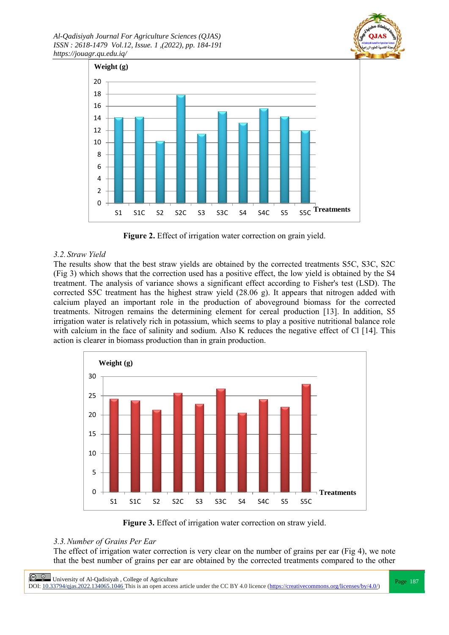



**Figure 2.** Effect of irrigation water correction on grain yield.

## *3.2. Straw Yield*

The results show that the best straw yields are obtained by the corrected treatments S5C, S3C, S2C (Fig 3) which shows that the correction used has a positive effect, the low yield is obtained by the S4 treatment. The analysis of variance shows a significant effect according to Fisher's test (LSD). The corrected S5C treatment has the highest straw yield (28.06 g). It appears that nitrogen added with calcium played an important role in the production of aboveground biomass for the corrected treatments. Nitrogen remains the determining element for cereal production [13]. In addition, S5 irrigation water is relatively rich in potassium, which seems to play a positive nutritional balance role with calcium in the face of salinity and sodium. Also K reduces the negative effect of Cl [14]. This action is clearer in biomass production than in grain production.



**Figure 3.** Effect of irrigation water correction on straw yield.

## *3.3.Number of Grains Per Ear*

The effect of irrigation water correction is very clear on the number of grains per ear (Fig 4), we note that the best number of grains per ear are obtained by the corrected treatments compared to the other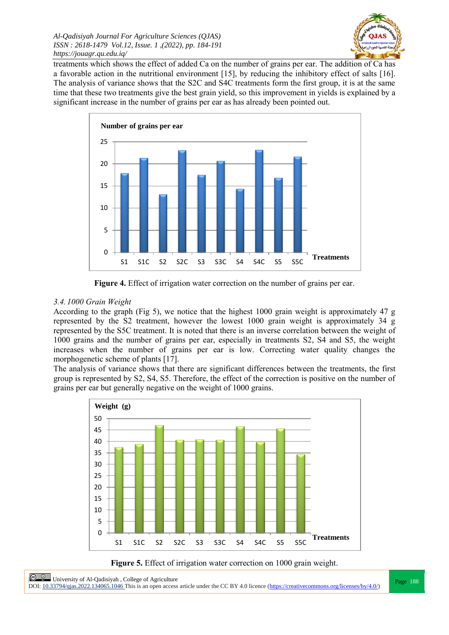

treatments which shows the effect of added Ca on the number of grains per ear. The addition of Ca has a favorable action in the nutritional environment [15], by reducing the inhibitory effect of salts [16]. The analysis of variance shows that the S2C and S4C treatments form the first group, it is at the same time that these two treatments give the best grain yield, so this improvement in yields is explained by a significant increase in the number of grains per ear as has already been pointed out.



**Figure 4.** Effect of irrigation water correction on the number of grains per ear.

# *3.4. 1000 Grain Weight*

According to the graph (Fig 5), we notice that the highest 1000 grain weight is approximately 47 g represented by the S2 treatment, however the lowest 1000 grain weight is approximately 34 g represented by the S5C treatment. It is noted that there is an inverse correlation between the weight of 1000 grains and the number of grains per ear, especially in treatments S2, S4 and S5, the weight increases when the number of grains per ear is low. Correcting water quality changes the morphogenetic scheme of plants [17].

The analysis of variance shows that there are significant differences between the treatments, the first group is represented by S2, S4, S5. Therefore, the effect of the correction is positive on the number of grains per ear but generally negative on the weight of 1000 grains.



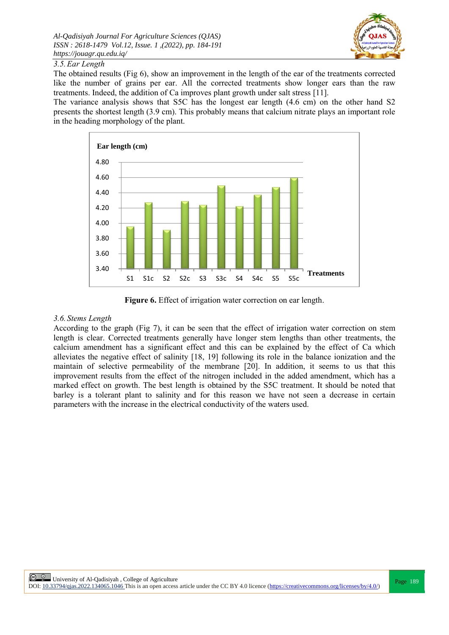

## *3.5.Ear Length*

The obtained results (Fig 6), show an improvement in the length of the ear of the treatments corrected like the number of grains per ear. All the corrected treatments show longer ears than the raw treatments. Indeed, the addition of Ca improves plant growth under salt stress [11].

The variance analysis shows that S5C has the longest ear length (4.6 cm) on the other hand S2 presents the shortest length (3.9 cm). This probably means that calcium nitrate plays an important role in the heading morphology of the plant.



**Figure 6.** Effect of irrigation water correction on ear length.

#### *3.6. Stems Length*

According to the graph (Fig 7), it can be seen that the effect of irrigation water correction on stem length is clear. Corrected treatments generally have longer stem lengths than other treatments, the calcium amendment has a significant effect and this can be explained by the effect of Ca which alleviates the negative effect of salinity [18, 19] following its role in the balance ionization and the maintain of selective permeability of the membrane [20]. In addition, it seems to us that this improvement results from the effect of the nitrogen included in the added amendment, which has a marked effect on growth. The best length is obtained by the S5C treatment. It should be noted that barley is a tolerant plant to salinity and for this reason we have not seen a decrease in certain parameters with the increase in the electrical conductivity of the waters used.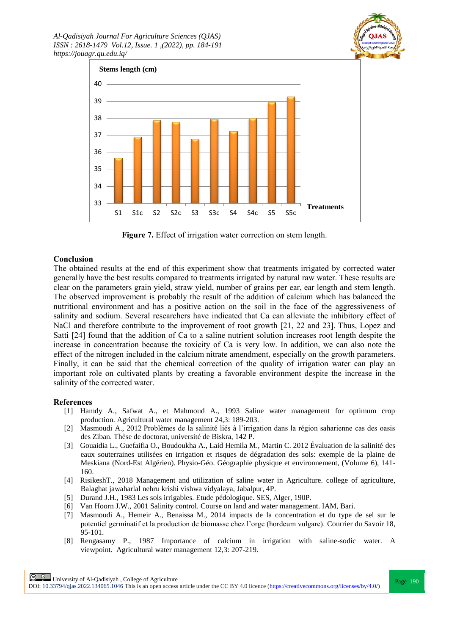



**Figure 7.** Effect of irrigation water correction on stem length.

#### **Conclusion**

The obtained results at the end of this experiment show that treatments irrigated by corrected water generally have the best results compared to treatments irrigated by natural raw water. These results are clear on the parameters grain yield, straw yield, number of grains per ear, ear length and stem length. The observed improvement is probably the result of the addition of calcium which has balanced the nutritional environment and has a positive action on the soil in the face of the aggressiveness of salinity and sodium. Several researchers have indicated that Ca can alleviate the inhibitory effect of NaCl and therefore contribute to the improvement of root growth [21, 22 and 23]. Thus, Lopez and Satti [24] found that the addition of Ca to a saline nutrient solution increases root length despite the increase in concentration because the toxicity of Ca is very low. In addition, we can also note the effect of the nitrogen included in the calcium nitrate amendment, especially on the growth parameters. Finally, it can be said that the chemical correction of the quality of irrigation water can play an important role on cultivated plants by creating a favorable environment despite the increase in the salinity of the corrected water.

#### **References**

- [1] Hamdy A., Safwat A., et Mahmoud A., 1993 Saline water management for optimum crop production. Agricultural water management 24,3: 189-203.
- [2] Masmoudi A., 2012 Problèmes de la salinité liés à l'irrigation dans la région saharienne cas des oasis des Ziban. Thèse de doctorat, université de Biskra, 142 P.
- [3] Gouaidia L., Guefaifia O., Boudoukha A., Laid Hemila M., Martin C. 2012 Évaluation de la salinité des eaux souterraines utilisées en irrigation et risques de dégradation des sols: exemple de la plaine de Meskiana (Nord-Est Algérien). Physio-Géo. Géographie physique et environnement, (Volume 6), 141- 160.
- [4] RisikeshT., 2018 Management and utilization of saline water in Agriculture. college of agriculture, Balaghat jawaharlal nehru krishi vishwa vidyalaya, Jabalpur, 4P.
- [5] Durand J.H., 1983 Les sols irrigables. Etude pédologique. SES, Alger, 190P.
- [6] Van Hoorn J.W., 2001 Salinity control. Course on land and water management. IAM, Bari.
- [7] Masmoudi A., Hemeir A., Benaissa M., 2014 impacts de la concentration et du type de sel sur le potentiel germinatif et la production de biomasse chez l'orge (hordeum vulgare). Courrier du Savoir 18, 95-101.
- [8] Rengasamy P., 1987 Importance of calcium in irrigation with saline-sodic water. A viewpoint. Agricultural water management 12,3: 207-219.

**Page 190**<br>
Page 190<br>
Recently 2000 1040651046711046 This is a complete of Agriculture DOI:  $10.33794/q$ jas.2022.134065.1046 This is an open access article under the CC BY 4.0 licence (https://creativecommons.org/licenses/by/4.0/)